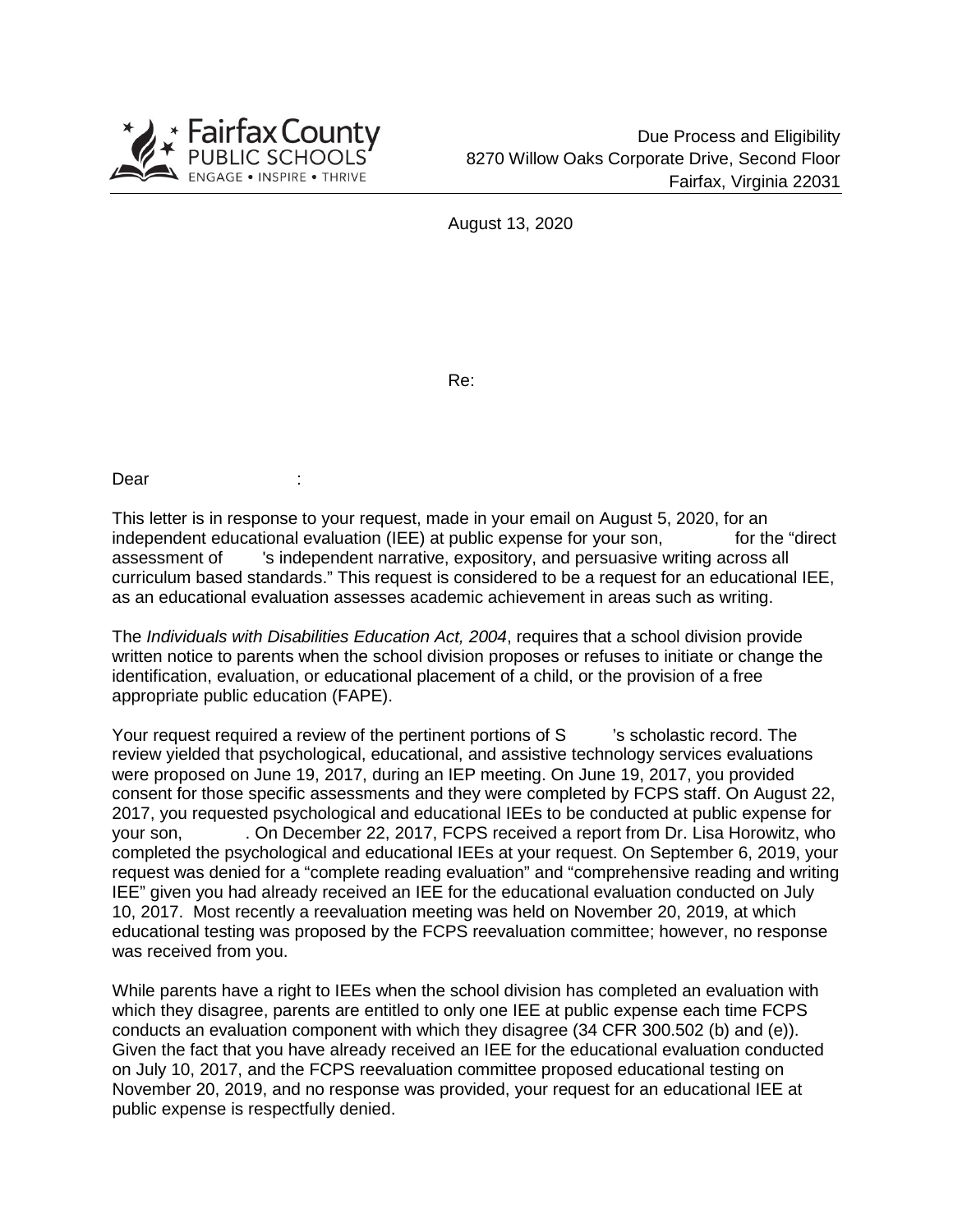

August 13, 2020

Re:

Dear

This letter is in response to your request, made in your email on August 5, 2020, for an independent educational evaluation (IEE) at public expense for your son, for the "direct assessment of 's independent narrative, expository, and persuasive writing across all curriculum based standards." This request is considered to be a request for an educational IEE, as an educational evaluation assesses academic achievement in areas such as writing.

The *Individuals with Disabilities Education Act, 2004*, requires that a school division provide written notice to parents when the school division proposes or refuses to initiate or change the identification, evaluation, or educational placement of a child, or the provision of a free appropriate public education (FAPE).

Your request required a review of the pertinent portions of S scholastic record. The review yielded that psychological, educational, and assistive technology services evaluations were proposed on June 19, 2017, during an IEP meeting. On June 19, 2017, you provided consent for those specific assessments and they were completed by FCPS staff. On August 22, 2017, you requested psychological and educational IEEs to be conducted at public expense for your son, . On December 22, 2017, FCPS received a report from Dr. Lisa Horowitz, who completed the psychological and educational IEEs at your request. On September 6, 2019, your request was denied for a "complete reading evaluation" and "comprehensive reading and writing IEE" given you had already received an IEE for the educational evaluation conducted on July 10, 2017. Most recently a reevaluation meeting was held on November 20, 2019, at which educational testing was proposed by the FCPS reevaluation committee; however, no response was received from you.

While parents have a right to IEEs when the school division has completed an evaluation with which they disagree, parents are entitled to only one IEE at public expense each time FCPS conducts an evaluation component with which they disagree (34 CFR 300.502 (b) and (e)). Given the fact that you have already received an IEE for the educational evaluation conducted on July 10, 2017, and the FCPS reevaluation committee proposed educational testing on November 20, 2019, and no response was provided, your request for an educational IEE at public expense is respectfully denied.